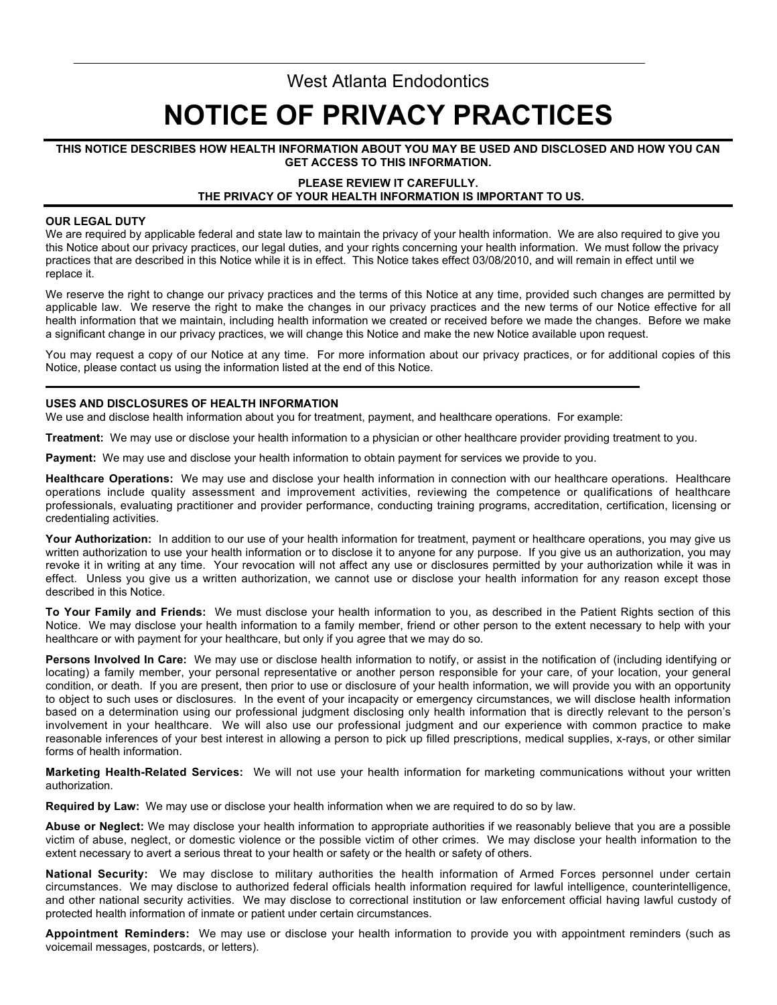# West Atlanta Endodontics **NOTICE OF PRIVACY PRACTICES**

## **THIS NOTICE DESCRIBES HOW HEALTH INFORMATION ABOUT YOU MAY BE USED AND DISCLOSED AND HOW YOU CAN GET ACCESS TO THIS INFORMATION.**

# **PLEASE REVIEW IT CAREFULLY. THE PRIVACY OF YOUR HEALTH INFORMATION IS IMPORTANT TO US.**

#### **OUR LEGAL DUTY**

We are required by applicable federal and state law to maintain the privacy of your health information. We are also required to give you this Notice about our privacy practices, our legal duties, and your rights concerning your health information. We must follow the privacy practices that are described in this Notice while it is in effect. This Notice takes effect 03/08/2010, and will remain in effect until we replace it.

We reserve the right to change our privacy practices and the terms of this Notice at any time, provided such changes are permitted by applicable law. We reserve the right to make the changes in our privacy practices and the new terms of our Notice effective for all health information that we maintain, including health information we created or received before we made the changes. Before we make a significant change in our privacy practices, we will change this Notice and make the new Notice available upon request.

You may request a copy of our Notice at any time. For more information about our privacy practices, or for additional copies of this Notice, please contact us using the information listed at the end of this Notice.

# **USES AND DISCLOSURES OF HEALTH INFORMATION**

We use and disclose health information about you for treatment, payment, and healthcare operations. For example:

**Treatment:** We may use or disclose your health information to a physician or other healthcare provider providing treatment to you.

**Payment:** We may use and disclose your health information to obtain payment for services we provide to you.

**Healthcare Operations:** We may use and disclose your health information in connection with our healthcare operations. Healthcare operations include quality assessment and improvement activities, reviewing the competence or qualifications of healthcare professionals, evaluating practitioner and provider performance, conducting training programs, accreditation, certification, licensing or credentialing activities.

**Your Authorization:** In addition to our use of your health information for treatment, payment or healthcare operations, you may give us written authorization to use your health information or to disclose it to anyone for any purpose. If you give us an authorization, you may revoke it in writing at any time. Your revocation will not affect any use or disclosures permitted by your authorization while it was in effect. Unless you give us a written authorization, we cannot use or disclose your health information for any reason except those described in this Notice.

**To Your Family and Friends:** We must disclose your health information to you, as described in the Patient Rights section of this Notice. We may disclose your health information to a family member, friend or other person to the extent necessary to help with your healthcare or with payment for your healthcare, but only if you agree that we may do so.

**Persons Involved In Care:** We may use or disclose health information to notify, or assist in the notification of (including identifying or locating) a family member, your personal representative or another person responsible for your care, of your location, your general condition, or death. If you are present, then prior to use or disclosure of your health information, we will provide you with an opportunity to object to such uses or disclosures. In the event of your incapacity or emergency circumstances, we will disclose health information based on a determination using our professional judgment disclosing only health information that is directly relevant to the person's involvement in your healthcare. We will also use our professional judgment and our experience with common practice to make reasonable inferences of your best interest in allowing a person to pick up filled prescriptions, medical supplies, x-rays, or other similar forms of health information.

**Marketing Health-Related Services:** We will not use your health information for marketing communications without your written authorization.

**Required by Law:** We may use or disclose your health information when we are required to do so by law.

**Abuse or Neglect:** We may disclose your health information to appropriate authorities if we reasonably believe that you are a possible victim of abuse, neglect, or domestic violence or the possible victim of other crimes. We may disclose your health information to the extent necessary to avert a serious threat to your health or safety or the health or safety of others.

**National Security:** We may disclose to military authorities the health information of Armed Forces personnel under certain circumstances. We may disclose to authorized federal officials health information required for lawful intelligence, counterintelligence, and other national security activities. We may disclose to correctional institution or law enforcement official having lawful custody of protected health information of inmate or patient under certain circumstances.

**Appointment Reminders:** We may use or disclose your health information to provide you with appointment reminders (such as voicemail messages, postcards, or letters).